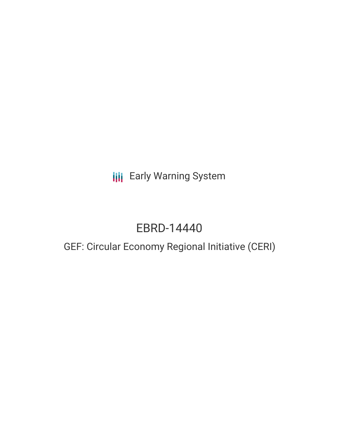# **III** Early Warning System

# EBRD-14440

## GEF: Circular Economy Regional Initiative (CERI)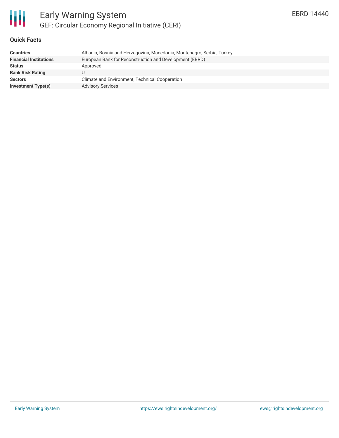

#### **Quick Facts**

| <b>Countries</b>              | Albania, Bosnia and Herzegovina, Macedonia, Montenegro, Serbia, Turkey |
|-------------------------------|------------------------------------------------------------------------|
| <b>Financial Institutions</b> | European Bank for Reconstruction and Development (EBRD)                |
| <b>Status</b>                 | Approved                                                               |
| <b>Bank Risk Rating</b>       |                                                                        |
| <b>Sectors</b>                | Climate and Environment, Technical Cooperation                         |
| <b>Investment Type(s)</b>     | <b>Advisory Services</b>                                               |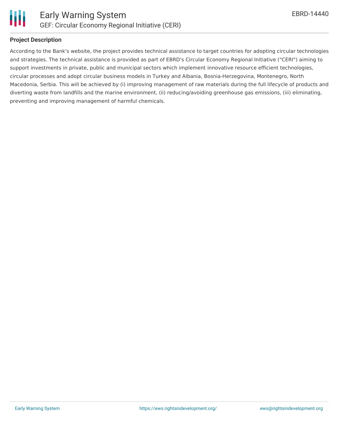

#### **Project Description**

According to the Bank's website, the project provides technical assistance to target countries for adopting circular technologies and strategies. The technical assistance is provided as part of EBRD's Circular Economy Regional Initiative ("CERI") aiming to support investments in private, public and municipal sectors which implement innovative resource efficient technologies, circular processes and adopt circular business models in Turkey and Albania, Bosnia-Herzegovina, Montenegro, North Macedonia, Serbia. This will be achieved by (i) improving management of raw materials during the full lifecycle of products and diverting waste from landfills and the marine environment, (ii) reducing/avoiding greenhouse gas emissions, (iii) eliminating, preventing and improving management of harmful chemicals.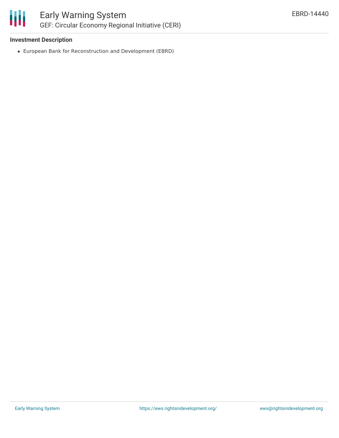

### **Investment Description**

European Bank for Reconstruction and Development (EBRD)